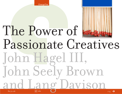**ChangeThis** 



# Info the contract of  $1/14$ The Power of Passionate Creatives John Hagel III, John Seely Brown and [La](#page-14-0)ng Davison No 70.06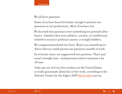

We all have passions.

Some of us have been fortunate enough to pursue our passions as our professions. Most of us have not.

We learned that passions were something we pursued after hours—whether they were athletic, artistic, or intellectual; related to social or political causes; or simply hobbies.

We compartmentalized our lives. Work was something we did so that we could pursue our passions outside of work.

In extreme cases, we suppressed our passions. There just wasn't enough time—and passions tend to consume a lot of time.

Only one out of every five workers in the United States is really passionate about his or her work, according to the Deloitte Center for the Edge's 2009 [Shift Index](http://www.deloitte.com/us/shiftindex) survey

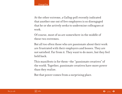At the other extreme, a Gallup poll recently indicated that another one out of five employees is so disengaged that he or she actively seeks to undermine colleagues at work.

Of course, most of us are somewhere in the middle of these two extremes.

But all too often those who are passionate about their work are frustrated with their employers and bosses. They are not satisfied. Far from it. They want to do more, but they feel held back.

This manifesto is for them—the "passionate creatives" of the world. Together, passionate creatives have more power than they realize.

But that power comes from a surprising place.

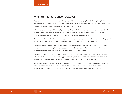## Who are the passionate creatives?

Passionate creatives are everywhere. They are not bound by geography, job description, institution, or demographic. They can be found anywhere from the frontlines of the largest organizations to the garages of entrepreneurs unleashing the next wave of innovation.

They are certainly not just knowledge workers. They include mechanics who are passionate about the machines they service, gardeners who see art where others only see plants, and craftspeople who create something amazing out of the most mundane raw materials.

What unites them is the desire to make a difference, to leave the world a better place than they found it, and to engage with those who share their passion so that they can get better faster.

These individuals go by many names. Some have adopted the label of pro-amateurs (or "pro-ams"), which was popularized by Charles Leadbeater. The label typically refers to amateurs who hold themselves to professional standards in their pursuit of their passion.

We seek to include those of us fortunate enough to be compensated for work we are passionate about, whether we are entrepreneurs, professionals, knowledge workers, craftspeople, or clerical workers who are searching for new and creative ways to do the most "routine" tasks.

Of course, these individuals have been around since the beginning of human history and played a more prominent role in some eras than in others. Our goal is to expand their ranks, and position them firmly in the center of the institutions that shape our professional and personal lives.

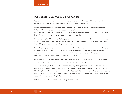### Passionate creatives are everywhere.

Passionate creatives are all around us. But they are not evenly distributed. They tend to gather on the edges where unmet needs intersect with unexploited capabilities.

Edges are fertile seedbeds for innovation. These edges include emerging economies like China, India, and Singapore. Other edges include demographic segments like younger generations with new sets of needs and interests. Edges also arise around the frontiers of technology, whether it is information technology, clean tech, nanotech, or biotech.

Edges naturally tend to grow "spiky" as passionate creatives seek out collaborators. In their quest for knowledge, passionate creatives gather together in dense geographic settlements to enhance their ability to encounter others they can learn from.

Up-and-coming software engineers go to Silicon Valley or Bangalore, screenwriters to Los Angeles, models to New York, and so on. Talented individuals tend to go where they have the greatest chance of running into what they need in order to take the next step, even if they don't quite know what form that step will take or who might inspire it.

Of course, not all passionate creatives have the luxury of picking up and moving to one of these spikes. Many of them remain scattered throughout every community.

And to be certain, not all people fall into the category of the passionate creative. Many today are overwhelmed by the changes going on around them and seek stability, predictability, and safety. They long for the time when they knew exactly what needed to be done and what could be expected when they did it. This is completely understandable—change can be destabilizing and threatening, especially if we are struggling to hang on to what we have.

But all of us have the potential to become passionate creatives.

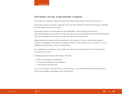## Everyone can be a passionate creative.

We all have the capacity to become passionate about some element of the world we live in.

And passion fosters creativity, especially if we have the discipline to master the practices required to drive performance to new levels.

Passionate creatives not only welcome new challenges—they actively seek them out. They take challenges and transform them into opportunities to develop new skills and perspectives. They are consumed with the desire to take their game to the next level.

Many people have suppressed their passions in an attempt to fit into a world that expected stability, predictability, and safety. But passion remains in the margins of our existence or in the daydreams that distract us from our daily tasks.

Our challenge is to rediscover and cultivate our passions, moving them from the margins into the center of our lives.

Cultivating passion requires three steps. We must:

- $\rightarrow$  Make our passions our profession.
- $\rightarrow$  Connect with people on the periphery.
- $\rightarrow$  Turn passion into potential.

For it is our passions that will focus us and energize us in a world where those without passion will be increasingly marginalized and overwhelmed.

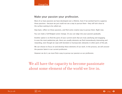## Make your passion your profession.

Most of us have passions we have developed over a lifetime. Even if we worked hard to suppress those passions—because we just could not see a way to pursue them—they still lurk close to the surface waiting to be called out.

Step back, reflect on those passions, and find some creative way to pursue them. Right now.

You can make a full-fledged career change. Or you can edge into your passion gradually.

Another option is to find the parts of your current work that are truly satisfying and engaging. In even the most pedestrian job, there are usually elements we find tremendously interesting and rewarding, even though we cope with boredom or bureaucratic obstacles in other parts of the job.

We can choose to focus on and develop these elements of our work. In the process, we will uncover the passion latent in our current profession.

However we do it, we must find a way to pursue our passion as our profession.

We all have the capacity to become passionate about some element of the world we live in.

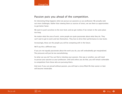## Passion puts you ahead of the competition.

An interesting thing happens when we pursue our passions as our profession: We actually seek out more challenges. Rather than viewing them as sources of stress, we see them as opportunities to get better faster.

We want to push ourselves to the next level, and we get restless if we remain in the same place too long.

No matter what the area of work, some people are quite passionate about what they do. They can't wait to get to work and test themselves. They love to drive their performance to new levels.

Increasingly, these are the people you will be competing with in the future.

We'll say this a different way:

If you are not equally passionate about the work you do, you will undoubtedly get marginalized. The pressures will just be too overwhelming.

So what can you do? You can find or develop your passion. One way or another, you will need to pursue your passion as your profession. Until and unless you do that, you will remain vulnerable to competition from those who are pursuing theirs.

And even if you can prevail without passion, you will lead a stress-filled life that sooner or later will become intolerable.

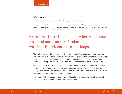## Get real.

Some critics say this goal is unrealistic. It may even sound elitist.

It may be feasible for a research scientist or a software engineer to make passion their profession. But what about the legions of workers supporting our factories, distribution centers, and fast-food restaurants? Is it really realistic for them to become passionate about their work?

# An interesting thing happens when we pursue our passions as our profession: We actually seek out more challenges.

The truth is that virtually any type of work can become the focus for passion. Many auto-repair mechanics are passionate about what makes cars run. Carpenters immerse themselves in building things that are beautiful and enduring. As Matt Crawford, the author of Shop Class as Soulcraft, points out, working with one's hands can have deeply philosophical, even spiritual, meaning.

One of the great lessons that Japanese car companies taught us is that assembly-line workers in a car factory can become enormously passionate about their work. That is, they can have passion if they are treated as problem-solvers who can innovate rather than automatons that simply carry out detailed instructions that someone else defines.

It is actually elitist to suggest that someone could not be passionate about work in certain job categories. It reveals the low opinion we have of the work.



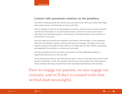## Connect with passionate creatives on the periphery.

Your effort to find passionate work will be more successful if you reach out to others who might share similar passions and find ways to connect with them.

Once we engage our passion, we also engage our curiosity, and we'll start to connect with what we find most meaningful. As our path becomes clearer, we'll want to seek out and connect with others who share these passions. In the process, we'll become better faster and drive our performance to new levels.

Once you make your passion your profession, you'll want to find the edges in your profession where the new thinking is going on and the new needs are emerging. The edges of our social networks represent the weak ties that connect us to people who can offer insights, experiences, and capabilities that provoke us to improve our own game.

Use those peripheries to focus and drive your passion. Find the challenging problems or opportunities that pull you to the next level.

As you develop your passion, you'll find that you want to reach out and help others with the same passion to get better, as well. Your passions will lead you to move quickly from conversation to shared initiatives that help you build much more meaningful relationships on the periphery.

Once we engage our passion, we also engage our curiosity, and we'll start to connect with what we find most meaningful.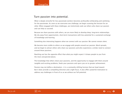## Turn passion into potential.

What is deeply stressful for less passionate workers becomes profoundly exhilarating and satisfying for the passionate. As soon as we overcome one challenge, we begin scanning the horizon for another. When engaged with these challenges, we instinctively seek out others who share our passion and can help us succeed.

Because we share passions with others, we are more likely to develop deep, long-term relationships. We shy away from opportunistic, short-term transactions with less potential for a sustained exchange of knowledge and learning.

Something else interesting happens when we connect with our passion: We cannot remain silent.

We become more visible to others as we engage with people around our passion. Word spreads, and we begin to attract others who share our passions and who experience a similar need to connect around these passions.

Reaching out has the opposite effect than what you might expect: It draws people to you from the most unexpected places.

The knowledge that others share your passions, and the opportunity to engage with them around tangible and exciting problems, feeds your passions and spurs you on to greater achievement.

Passion may not define a destination—it is a constantly shifting horizon that we head toward. But it does provide a compelling direction and a tight focus. It also offers powerful motivation to address any challenges in front of us as we achieve our full potential.



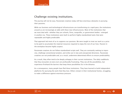## Challenge existing institutions.

The journey will not be easy. Passionate creatives today still face enormous obstacles in pursuing their passions.

While our business and technological infrastructures are transforming at a rapid pace, the institutions around us are increasingly at odds with these new infrastructures. Most of the institutions that we must deal with—whether they are schools, firms, nonprofits, or government bodies—emerged in another era. These institutions were built to perform highly standardized tasks that were repeatable and highly predictable.

That approach led most of us to suppress our passions. We were taught to treat our work as a price to be paid to accumulate the material resources required to enjoy the rest of our lives. Passion in the workplace became highly suspect.

Passionate creatives do not follow standardized scripts well. They are constantly seeking to improvise, challenge conventional wisdom, and strike out in new and unexpected directions. Passionate creatives are not predictable and, as a result, undermine determined efforts to ensure predictability.

As a result, they often tend to be deeply unhappy in their current institutions. The daily roadblocks that they encounter at every turn are profoundly frustrating. They see all the possibilities, but experience firsthand the barriers that keep these possibilities far in the distance.

As a consequence, many people have fled these institutions. They have learned to build independent platforms for pursuing the work that they love. Others remain in their institutional homes, struggling to make a difference against enormous pressure.

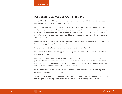## Passionate creatives change institutions.

As individuals begin making their passions their professions, they will in turn exert enormous pressure on institutions of all types to change.

Institutions will be forced to find ways to make talent development the core rationale for their existence. Everything about these institutions—strategy, operations, and organization—will need to be reconceived through this talent development lens. Any institution that cannot provide a powerful platform for talent development will find its most talented people fleeing their cubicles and corner offices.

Embracing our individuality and passions, however, doesn't mean breaking free of all organizations. Nor are we suggesting an "end to the firm."

#### **This isn't about the "end of the organization," but its transformation.**

Institutions of all stripes have an opportunity to tap into, leverage, and magnify the individuals who work for them.

Institutions remain absolutely necessary as bases for people looking to develop to their fullest potential. They can significantly amplify the power of passionate creatives, making it far easier to connect with a broader range of people and resources and to learn faster from each other than individuals ever could have achieved without institutions.

We must therefore reclaim our institutions—whether we work from the inside at existing ones or create a new generation of our own.

We will build a new breed of institutions designed from the bottom up and from the edges inward with the goal of providing platforms for passionate creatives to amplify their passions.



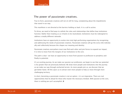## The power of passionate creatives.

True to form, passionate creatives will not sit still for long, complaining about the impediments that stand in our way.

This manifesto is not directed at the barriers holding us back. It is a call to action.

To thrive, we need to find ways to rethink the roles and relationships that define how institutions function. Rather than treating us as irritants to be neutralized, institutions must be redesigned to address a totally different rationale.

Institutions have an opportunity to evolve into truly high performing organizations by recognizing and addressing the needs of passionate creatives. Passionate creatives will go the extra mile individually and collectively because this shapes our meaning and identity.

Passionate creatives everywhere must now find each other and join forces to expand our impact. It is time to move from the margins of our institutions to the core.

The path is clear—we have an opportunity to move from passion to profession to periphery and finally to potential.

It's an exciting journey. As we make our passion our profession, we begin to see that our potential is far greater than we previously believed. We draw more people and institutions into the journey as we make our way through uncharted terrain. As more people join us, we discover that we get better faster. All this spurs us to attract even more people to help us move through more challenging territory.

In short, becoming a passionate creative is not an option—it is an imperative. There are real opportunities that lie ahead for those who master the necessary mindset. With passion at the core, there is nothing we can't accomplish.  $\mathbf{\Omega}$